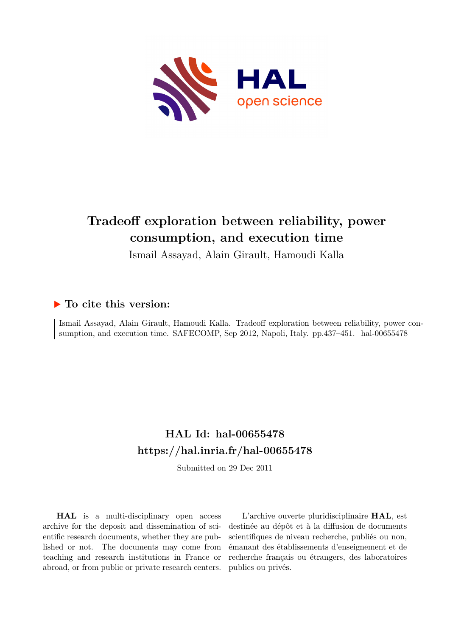

# **Tradeoff exploration between reliability, power consumption, and execution time**

Ismail Assayad, Alain Girault, Hamoudi Kalla

# **To cite this version:**

Ismail Assayad, Alain Girault, Hamoudi Kalla. Tradeoff exploration between reliability, power consumption, and execution time. SAFECOMP, Sep 2012, Napoli, Italy. pp.437-451. hal-00655478

# **HAL Id: hal-00655478 <https://hal.inria.fr/hal-00655478>**

Submitted on 29 Dec 2011

**HAL** is a multi-disciplinary open access archive for the deposit and dissemination of scientific research documents, whether they are published or not. The documents may come from teaching and research institutions in France or abroad, or from public or private research centers.

L'archive ouverte pluridisciplinaire **HAL**, est destinée au dépôt et à la diffusion de documents scientifiques de niveau recherche, publiés ou non, émanant des établissements d'enseignement et de recherche français ou étrangers, des laboratoires publics ou privés.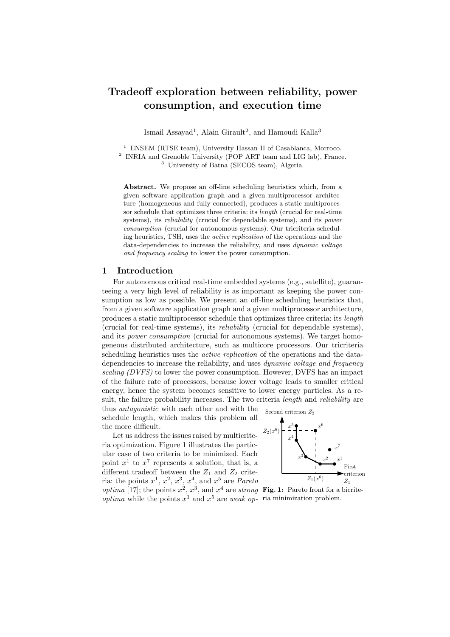# Tradeoff exploration between reliability, power consumption, and execution time

Ismail Assayad<sup>1</sup>, Alain Girault<sup>2</sup>, and Hamoudi Kalla<sup>3</sup>

<sup>1</sup> ENSEM (RTSE team), University Hassan II of Casablanca, Morroco. 2 INRIA and Grenoble University (POP ART team and LIG lab), France. <sup>3</sup> University of Batna (SECOS team), Algeria.

Abstract. We propose an off-line scheduling heuristics which, from a given software application graph and a given multiprocessor architecture (homogeneous and fully connected), produces a static multiprocessor schedule that optimizes three criteria: its length (crucial for real-time systems), its *reliability* (crucial for dependable systems), and its *power* consumption (crucial for autonomous systems). Our tricriteria scheduling heuristics, TSH, uses the active replication of the operations and the data-dependencies to increase the reliability, and uses dynamic voltage and frequency scaling to lower the power consumption.

#### 1 Introduction

For autonomous critical real-time embedded systems (e.g., satellite), guaranteeing a very high level of reliability is as important as keeping the power consumption as low as possible. We present an off-line scheduling heuristics that, from a given software application graph and a given multiprocessor architecture, produces a static multiprocessor schedule that optimizes three criteria: its length (crucial for real-time systems), its reliability (crucial for dependable systems), and its *power consumption* (crucial for autonomous systems). We target homogeneous distributed architecture, such as multicore processors. Our tricriteria scheduling heuristics uses the *active replication* of the operations and the datadependencies to increase the reliability, and uses *dynamic voltage and frequency* scaling (DVFS) to lower the power consumption. However, DVFS has an impact of the failure rate of processors, because lower voltage leads to smaller critical energy, hence the system becomes sensitive to lower energy particles. As a result, the failure probability increases. The two criteria *length* and *reliability* are

thus antagonistic with each other and with the schedule length, which makes this problem all the more difficult.

Let us address the issues raised by multicriteria optimization. Figure 1 illustrates the particular case of two criteria to be minimized. Each point  $x^1$  to  $x^7$  represents a solution, that is, a different tradeoff between the  $Z_1$  and  $Z_2$  criteria: the points  $x^1$ ,  $x^2$ ,  $x^3$ ,  $x^4$ , and  $x^5$  are *Pareto optima* [17]; the points  $x^2$ ,  $x^3$ , and  $x^4$  are *strong* Fig. 1: Pareto front for a bicrite*optima* while the points  $x^1$  and  $x^5$  are *weak op*- ria minimization problem.

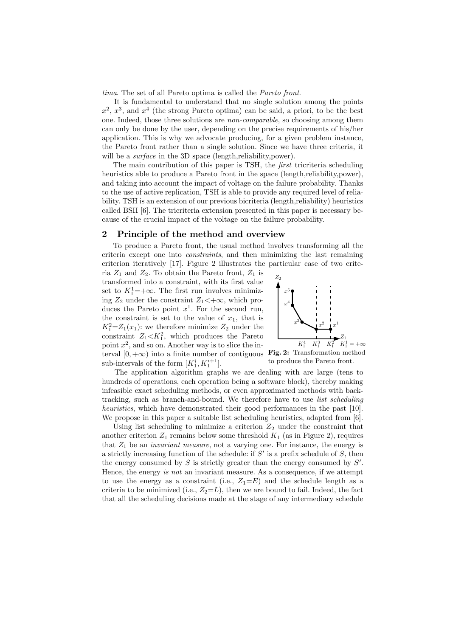tima. The set of all Pareto optima is called the Pareto front.

It is fundamental to understand that no single solution among the points  $x^2$ ,  $x^3$ , and  $x^4$  (the strong Pareto optima) can be said, a priori, to be the best one. Indeed, those three solutions are non-comparable, so choosing among them can only be done by the user, depending on the precise requirements of his/her application. This is why we advocate producing, for a given problem instance, the Pareto front rather than a single solution. Since we have three criteria, it will be a *surface* in the 3D space (length, reliability, power).

The main contribution of this paper is TSH, the *first* tricriteria scheduling heuristics able to produce a Pareto front in the space (length, reliability, power), and taking into account the impact of voltage on the failure probability. Thanks to the use of active replication, TSH is able to provide any required level of reliability. TSH is an extension of our previous bicriteria (length,reliability) heuristics called BSH [6]. The tricriteria extension presented in this paper is necessary because of the crucial impact of the voltage on the failure probability.

# 2 Principle of the method and overview

To produce a Pareto front, the usual method involves transforming all the criteria except one into constraints, and then minimizing the last remaining criterion iteratively [17]. Figure 2 illustrates the particular case of two crite-

ria  $Z_1$  and  $Z_2$ . To obtain the Pareto front,  $Z_1$  is transformed into a constraint, with its first value set to  $K_1^1$ =+ $\infty$ . The first run involves minimizing  $Z_2$  under the constraint  $Z_1$ <+ $\infty$ , which produces the Pareto point  $x^1$ . For the second run, the constraint is set to the value of  $x_1$ , that is  $K_1^2 = Z_1(x_1)$ : we therefore minimize  $Z_2$  under the constraint  $Z_1 < K_1^2$ , which produces the Pareto point  $x^2$ , and so on. Another way is to slice the interval  $[0, +\infty)$  into a finite number of contiguous sub-intervals of the form  $[K_1^i, K_1^{i+1}].$ 



Fig. 2: Transformation method to produce the Pareto front.

The application algorithm graphs we are dealing with are large (tens to hundreds of operations, each operation being a software block), thereby making infeasible exact scheduling methods, or even approximated methods with backtracking, such as branch-and-bound. We therefore have to use list scheduling heuristics, which have demonstrated their good performances in the past [10]. We propose in this paper a suitable list scheduling heuristics, adapted from [6].

Using list scheduling to minimize a criterion  $Z_2$  under the constraint that another criterion  $Z_1$  remains below some threshold  $K_1$  (as in Figure 2), requires that  $Z_1$  be an *invariant measure*, not a varying one. For instance, the energy is a strictly increasing function of the schedule: if  $S'$  is a prefix schedule of  $S$ , then the energy consumed by  $S$  is strictly greater than the energy consumed by  $S'$ . Hence, the energy is not an invariant measure. As a consequence, if we attempt to use the energy as a constraint (i.e.,  $Z_1 = E$ ) and the schedule length as a criteria to be minimized (i.e.,  $Z_2 = L$ ), then we are bound to fail. Indeed, the fact that all the scheduling decisions made at the stage of any intermediary schedule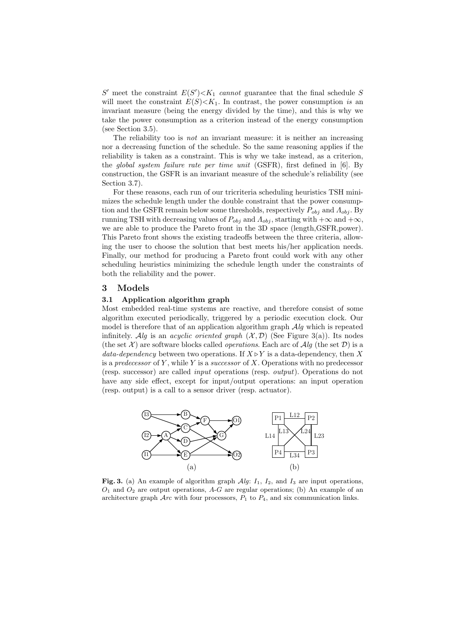$S'$  meet the constraint  $E(S') < K_1$  cannot guarantee that the final schedule S will meet the constraint  $E(S) \le K_1$ . In contrast, the power consumption is an invariant measure (being the energy divided by the time), and this is why we take the power consumption as a criterion instead of the energy consumption (see Section 3.5).

The reliability too is *not* an invariant measure: it is neither an increasing nor a decreasing function of the schedule. So the same reasoning applies if the reliability is taken as a constraint. This is why we take instead, as a criterion, the global system failure rate per time unit (GSFR), first defined in [6]. By construction, the GSFR is an invariant measure of the schedule's reliability (see Section 3.7).

For these reasons, each run of our tricriteria scheduling heuristics TSH minimizes the schedule length under the double constraint that the power consumption and the GSFR remain below some thresholds, respectively  $P_{obj}$  and  $\Lambda_{obj}$ . By running TSH with decreasing values of  $P_{obj}$  and  $\Lambda_{obj}$ , starting with  $+\infty$  and  $+\infty$ , we are able to produce the Pareto front in the 3D space (length,GSFR,power). This Pareto front shows the existing tradeoffs between the three criteria, allowing the user to choose the solution that best meets his/her application needs. Finally, our method for producing a Pareto front could work with any other scheduling heuristics minimizing the schedule length under the constraints of both the reliability and the power.

# 3 Models

### 3.1 Application algorithm graph

Most embedded real-time systems are reactive, and therefore consist of some algorithm executed periodically, triggered by a periodic execution clock. Our model is therefore that of an application algorithm graph  $Alg$  which is repeated infinitely. Alg is an *acyclic oriented graph*  $(\mathcal{X}, \mathcal{D})$  (See Figure 3(a)). Its nodes (the set  $\mathcal{X}$ ) are software blocks called *operations*. Each arc of  $\mathcal{A}lq$  (the set  $\mathcal{D}$ ) is a data-dependency between two operations. If  $X \triangleright Y$  is a data-dependency, then X is a predecessor of Y, while Y is a successor of X. Operations with no predecessor (resp. successor) are called input operations (resp. output). Operations do not have any side effect, except for input/output operations: an input operation (resp. output) is a call to a sensor driver (resp. actuator).



Fig. 3. (a) An example of algorithm graph  $Alg: I_1$ ,  $I_2$ , and  $I_3$  are input operations,  $O_1$  and  $O_2$  are output operations, A-G are regular operations; (b) An example of an architecture graph  $\mathcal{A}$ rc with four processors,  $P_1$  to  $P_4$ , and six communication links.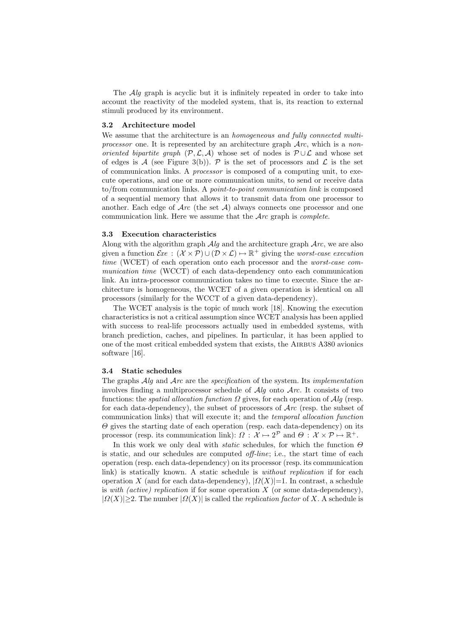The  $Alg$  graph is acyclic but it is infinitely repeated in order to take into account the reactivity of the modeled system, that is, its reaction to external stimuli produced by its environment.

#### 3.2 Architecture model

We assume that the architecture is an *homogeneous and fully connected multi*processor one. It is represented by an architecture graph  $\mathcal{A}$ rc, which is a nonoriented bipartite graph  $(\mathcal{P}, \mathcal{L}, \mathcal{A})$  whose set of nodes is  $\mathcal{P} \cup \mathcal{L}$  and whose set of edges is A (see Figure 3(b)). P is the set of processors and  $\mathcal L$  is the set of communication links. A processor is composed of a computing unit, to execute operations, and one or more communication units, to send or receive data to/from communication links. A point-to-point communication link is composed of a sequential memory that allows it to transmit data from one processor to another. Each edge of  $\mathcal{A}r$  (the set  $\mathcal{A}$ ) always connects one processor and one communication link. Here we assume that the  $Arc$  graph is *complete*.

#### 3.3 Execution characteristics

Along with the algorithm graph  $\mathcal{A}lq$  and the architecture graph  $\mathcal{A}rc$ , we are also given a function  $\mathcal{E}xe : (\mathcal{X} \times \mathcal{P}) \cup (\mathcal{D} \times \mathcal{L}) \mapsto \mathbb{R}^+$  giving the worst-case execution time (WCET) of each operation onto each processor and the worst-case communication time (WCCT) of each data-dependency onto each communication link. An intra-processor communication takes no time to execute. Since the architecture is homogeneous, the WCET of a given operation is identical on all processors (similarly for the WCCT of a given data-dependency).

The WCET analysis is the topic of much work [18]. Knowing the execution characteristics is not a critical assumption since WCET analysis has been applied with success to real-life processors actually used in embedded systems, with branch prediction, caches, and pipelines. In particular, it has been applied to one of the most critical embedded system that exists, the AIRBUS A380 avionics software [16].

#### 3.4 Static schedules

The graphs  $Alg$  and  $Arc$  are the *specification* of the system. Its *implementation* involves finding a multiprocessor schedule of  $\mathcal{A}lq$  onto  $\mathcal{A}rc$ . It consists of two functions: the *spatial allocation function*  $\Omega$  gives, for each operation of  $\mathcal{A}l\mathcal{g}$  (resp. for each data-dependency), the subset of processors of  $\mathcal{A}$ rc (resp. the subset of communication links) that will execute it; and the temporal allocation function  $\Theta$  gives the starting date of each operation (resp. each data-dependency) on its processor (resp. its communication link):  $\Omega$  :  $\mathcal{X} \mapsto 2^{\mathcal{P}}$  and  $\Theta$  :  $\mathcal{X} \times \mathcal{P} \mapsto \mathbb{R}^+$ .

In this work we only deal with *static* schedules, for which the function  $\Theta$ is static, and our schedules are computed off-line; i.e., the start time of each operation (resp. each data-dependency) on its processor (resp. its communication link) is statically known. A static schedule is *without replication* if for each operation X (and for each data-dependency),  $|\Omega(X)|=1$ . In contrast, a schedule is with (active) replication if for some operation X (or some data-dependency),  $|\Omega(X)|\geq 2$ . The number  $|\Omega(X)|$  is called the *replication factor* of X. A schedule is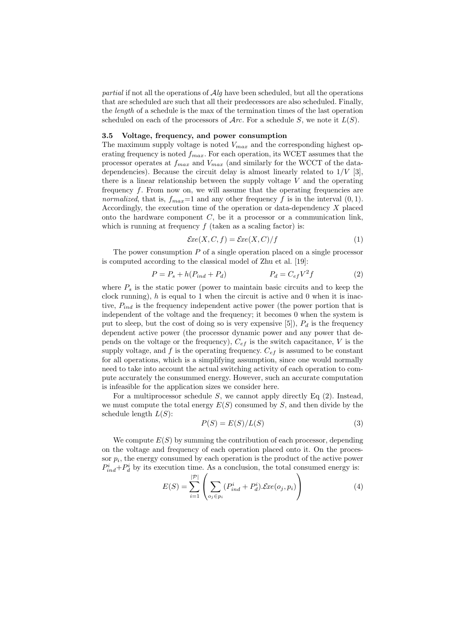partial if not all the operations of  $\mathcal{A}lq$  have been scheduled, but all the operations that are scheduled are such that all their predecessors are also scheduled. Finally, the length of a schedule is the max of the termination times of the last operation scheduled on each of the processors of  $\mathcal{A}rc$ . For a schedule S, we note it  $L(S)$ .

# 3.5 Voltage, frequency, and power consumption

The maximum supply voltage is noted  $V_{max}$  and the corresponding highest operating frequency is noted  $f_{max}$ . For each operation, its WCET assumes that the processor operates at  $f_{max}$  and  $V_{max}$  (and similarly for the WCCT of the datadependencies). Because the circuit delay is almost linearly related to  $1/V$  [3], there is a linear relationship between the supply voltage  $V$  and the operating frequency  $f$ . From now on, we will assume that the operating frequencies are normalized, that is,  $f_{max}=1$  and any other frequency f is in the interval  $(0, 1)$ . Accordingly, the execution time of the operation or data-dependency  $X$  placed onto the hardware component  $C$ , be it a processor or a communication link, which is running at frequency  $f$  (taken as a scaling factor) is:

$$
\mathcal{E}xe(X, C, f) = \mathcal{E}xe(X, C)/f\tag{1}
$$

The power consumption  $P$  of a single operation placed on a single processor is computed according to the classical model of Zhu et al. [19]:

$$
P = P_s + h(P_{ind} + P_d) \qquad P_d = C_{ef} V^2 f \tag{2}
$$

where  $P_s$  is the static power (power to maintain basic circuits and to keep the clock running),  $h$  is equal to 1 when the circuit is active and 0 when it is inactive,  $P_{ind}$  is the frequency independent active power (the power portion that is independent of the voltage and the frequency; it becomes 0 when the system is put to sleep, but the cost of doing so is very expensive [5]),  $P_d$  is the frequency dependent active power (the processor dynamic power and any power that depends on the voltage or the frequency),  $C_{ef}$  is the switch capacitance, V is the supply voltage, and  $f$  is the operating frequency.  $C_{ef}$  is assumed to be constant for all operations, which is a simplifying assumption, since one would normally need to take into account the actual switching activity of each operation to compute accurately the consummed energy. However, such an accurate computation is infeasible for the application sizes we consider here.

For a multiprocessor schedule  $S$ , we cannot apply directly Eq  $(2)$ . Instead, we must compute the total energy  $E(S)$  consumed by S, and then divide by the schedule length  $L(S)$ :

$$
P(S) = E(S)/L(S)
$$
\n(3)

We compute  $E(S)$  by summing the contribution of each processor, depending on the voltage and frequency of each operation placed onto it. On the processor  $p_i$ , the energy consumed by each operation is the product of the active power  $P_{ind}^{i}+P_{d}^{i}$  by its execution time. As a conclusion, the total consumed energy is:

$$
E(S) = \sum_{i=1}^{|\mathcal{P}|} \left( \sum_{o_j \in p_i} (P_{ind}^i + P_d^i) \mathcal{E}xe(o_j, p_i) \right)
$$
(4)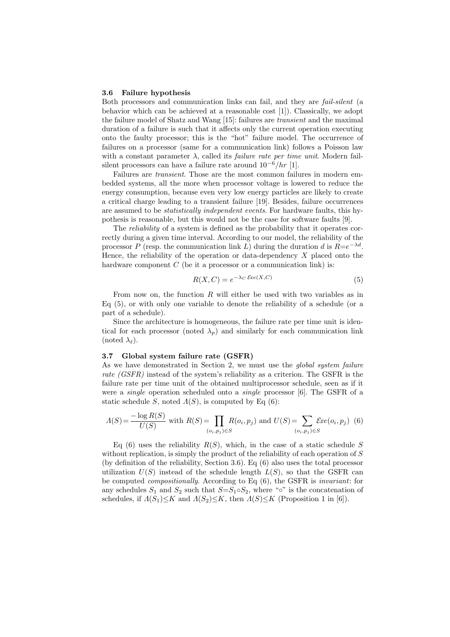#### 3.6 Failure hypothesis

Both processors and communication links can fail, and they are fail-silent (a behavior which can be achieved at a reasonable cost [1]). Classically, we adopt the failure model of Shatz and Wang [15]: failures are transient and the maximal duration of a failure is such that it affects only the current operation executing onto the faulty processor; this is the "hot" failure model. The occurrence of failures on a processor (same for a communication link) follows a Poisson law with a constant parameter  $\lambda$ , called its *failure rate per time unit*. Modern failsilent processors can have a failure rate around  $10^{-6}/hr$  [1].

Failures are transient. Those are the most common failures in modern embedded systems, all the more when processor voltage is lowered to reduce the energy consumption, because even very low energy particles are likely to create a critical charge leading to a transient failure [19]. Besides, failure occurrences are assumed to be statistically independent events. For hardware faults, this hypothesis is reasonable, but this would not be the case for software faults [9].

The *reliability* of a system is defined as the probability that it operates correctly during a given time interval. According to our model, the reliability of the processor P (resp. the communication link L) during the duration d is  $R = e^{-\lambda d}$ . Hence, the reliability of the operation or data-dependency  $X$  placed onto the hardware component  $C$  (be it a processor or a communication link) is:

$$
R(X, C) = e^{-\lambda_C \operatorname{Eze}(X, C)}
$$
\n<sup>(5)</sup>

From now on, the function  $R$  will either be used with two variables as in Eq (5), or with only one variable to denote the reliability of a schedule (or a part of a schedule).

Since the architecture is homogeneous, the failure rate per time unit is identical for each processor (noted  $\lambda_p$ ) and similarly for each communication link (noted  $\lambda_{\ell}$ ).

# 3.7 Global system failure rate (GSFR)

As we have demonstrated in Section 2, we must use the *global system failure* rate (GSFR) instead of the system's reliability as a criterion. The GSFR is the failure rate per time unit of the obtained multiprocessor schedule, seen as if it were a *single* operation scheduled onto a *single* processor [6]. The GSFR of a static schedule S, noted  $\Lambda(S)$ , is computed by Eq (6):

$$
\Lambda(S) = \frac{-\log R(S)}{U(S)} \text{ with } R(S) = \prod_{(o_i, p_j) \in S} R(o_i, p_j) \text{ and } U(S) = \sum_{(o_i, p_j) \in S} \mathcal{E}xe(o_i, p_j) \tag{6}
$$

Eq (6) uses the reliability  $R(S)$ , which, in the case of a static schedule S without replication, is simply the product of the reliability of each operation of  $S$ (by definition of the reliability, Section 3.6). Eq (6) also uses the total processor utilization  $U(S)$  instead of the schedule length  $L(S)$ , so that the GSFR can be computed compositionally. According to Eq (6), the GSFR is invariant: for any schedules  $S_1$  and  $S_2$  such that  $S=S_1 \circ S_2$ , where "∘" is the concatenation of schedules, if  $\Lambda(S_1) \leq K$  and  $\Lambda(S_2) \leq K$ , then  $\Lambda(S) \leq K$  (Proposition 1 in [6]).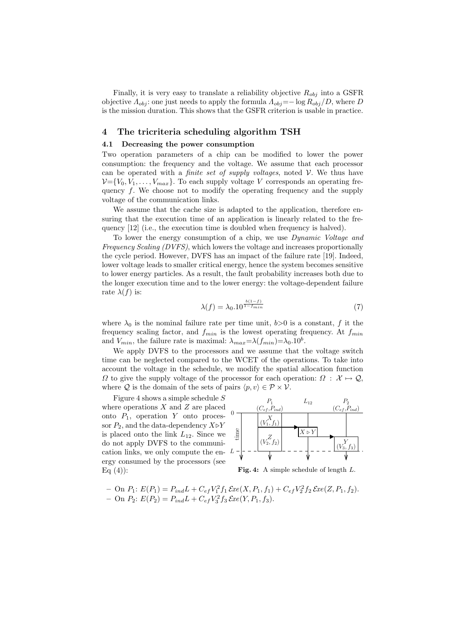Finally, it is very easy to translate a reliability objective  $R_{obj}$  into a GSFR objective  $\Lambda_{obj}$ : one just needs to apply the formula  $\Lambda_{obj}=-\log R_{obj}/D$ , where D is the mission duration. This shows that the GSFR criterion is usable in practice.

# 4 The tricriteria scheduling algorithm TSH

# 4.1 Decreasing the power consumption

Two operation parameters of a chip can be modified to lower the power consumption: the frequency and the voltage. We assume that each processor can be operated with a *finite set of supply voltages*, noted  $V$ . We thus have  $V = \{V_0, V_1, \ldots, V_{max}\}\.$  To each supply voltage V corresponds an operating frequency  $f$ . We choose not to modify the operating frequency and the supply voltage of the communication links.

We assume that the cache size is adapted to the application, therefore ensuring that the execution time of an application is linearly related to the frequency [12] (i.e., the execution time is doubled when frequency is halved).

To lower the energy consumption of a chip, we use Dynamic Voltage and Frequency Scaling (DVFS), which lowers the voltage and increases proportionally the cycle period. However, DVFS has an impact of the failure rate [19]. Indeed, lower voltage leads to smaller critical energy, hence the system becomes sensitive to lower energy particles. As a result, the fault probability increases both due to the longer execution time and to the lower energy: the voltage-dependent failure rate  $\lambda(f)$  is:

$$
\lambda(f) = \lambda_0 . 10^{\frac{b(1-f)}{1-f_{min}}} \tag{7}
$$

where  $\lambda_0$  is the nominal failure rate per time unit,  $b > 0$  is a constant, f it the frequency scaling factor, and  $f_{min}$  is the lowest operating frequency. At  $f_{min}$ and  $V_{min}$ , the failure rate is maximal:  $\lambda_{max} = \lambda(f_{min}) = \lambda_0.10^b$ .

We apply DVFS to the processors and we assume that the voltage switch time can be neglected compared to the WCET of the operations. To take into account the voltage in the schedule, we modify the spatial allocation function  $\Omega$  to give the supply voltage of the processor for each operation:  $\Omega : \mathcal{X} \mapsto \mathcal{Q}$ , where Q is the domain of the sets of pairs  $\langle p, v \rangle \in \mathcal{P} \times \mathcal{V}$ .

Figure 4 shows a simple schedule S where operations  $X$  and  $Z$  are placed onto  $P_1$ , operation Y onto processor  $P_2$ , and the data-dependency  $X \triangleright Y$ is placed onto the link  $L_{12}$ . Since we do not apply DVFS to the communication links, we only compute the energy consumed by the processors (see  $Eq (4):$ 



Fig. 4: A simple schedule of length L.

- On 
$$
P_1
$$
:  $E(P_1) = P_{ind}L + C_{ef}V_1^2 f_1 \mathcal{E}xe(X, P_1, f_1) + C_{ef}V_2^2 f_2 \mathcal{E}xe(Z, P_1, f_2)$ .  
- On  $P_2$ :  $E(P_2) = P_{ind}L + C_{ef}V_3^2 f_3 \mathcal{E}xe(Y, P_1, f_3)$ .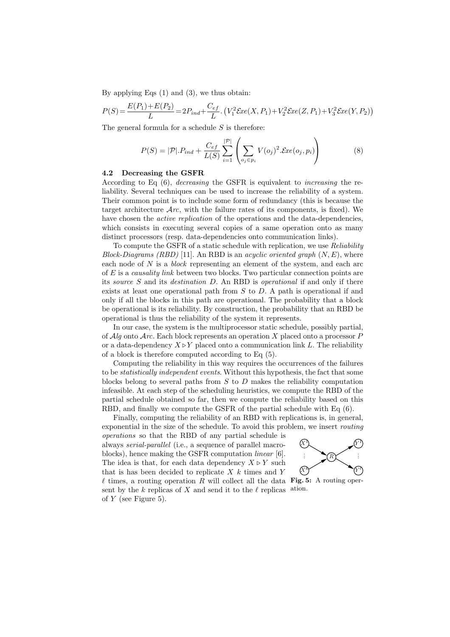By applying Eqs  $(1)$  and  $(3)$ , we thus obtain:

$$
P(S) = \frac{E(P_1) + E(P_2)}{L} = 2P_{ind} + \frac{C_{ef}}{L} \cdot (V_1^2 \mathcal{E}xe(X, P_1) + V_2^2 \mathcal{E}xe(Z, P_1) + V_3^2 \mathcal{E}xe(Y, P_2))
$$

The general formula for a schedule  $S$  is therefore:

$$
P(S) = |\mathcal{P}| \cdot P_{ind} + \frac{C_{ef}}{L(S)} \sum_{i=1}^{|\mathcal{P}|} \left( \sum_{o_j \in p_i} V(o_j)^2 \cdot \mathcal{E}e(o_j, p_i) \right)
$$
(8)

#### 4.2 Decreasing the GSFR

According to Eq  $(6)$ , *decreasing* the GSFR is equivalent to *increasing* the reliability. Several techniques can be used to increase the reliability of a system. Their common point is to include some form of redundancy (this is because the target architecture  $\mathcal{A}rc$ , with the failure rates of its components, is fixed). We have chosen the *active replication* of the operations and the data-dependencies, which consists in executing several copies of a same operation onto as many distinct processors (resp. data-dependencies onto communication links).

To compute the GSFR of a static schedule with replication, we use Reliability Block-Diagrams (RBD) [11]. An RBD is an acyclic oriented graph  $(N, E)$ , where each node of  $N$  is a *block* representing an element of the system, and each arc of  $E$  is a *causality link* between two blocks. Two particular connection points are its source S and its destination D. An RBD is operational if and only if there exists at least one operational path from S to D. A path is operational if and only if all the blocks in this path are operational. The probability that a block be operational is its reliability. By construction, the probability that an RBD be operational is thus the reliability of the system it represents.

In our case, the system is the multiprocessor static schedule, possibly partial, of  $Alg$  onto  $Arc$ . Each block represents an operation X placed onto a processor P or a data-dependency  $X \triangleright Y$  placed onto a communication link L. The reliability of a block is therefore computed according to Eq (5).

Computing the reliability in this way requires the occurrences of the failures to be statistically independent events. Without this hypothesis, the fact that some blocks belong to several paths from  $S$  to  $D$  makes the reliability computation infeasible. At each step of the scheduling heuristics, we compute the RBD of the partial schedule obtained so far, then we compute the reliability based on this RBD, and finally we compute the GSFR of the partial schedule with Eq (6).

Finally, computing the reliability of an RBD with replications is, in general, exponential in the size of the schedule. To avoid this problem, we insert routing

operations so that the RBD of any partial schedule is always serial-parallel (i.e., a sequence of parallel macroblocks), hence making the GSFR computation linear [6]. The idea is that, for each data dependency  $X \triangleright Y$  such that is has been decided to replicate  $X$   $k$  times and Y  $\ell$  times, a routing operation R will collect all the data Fig. 5: A routing opersent by the k replicas of X and send it to the  $\ell$  replicas of  $Y$  (see Figure 5).



ation.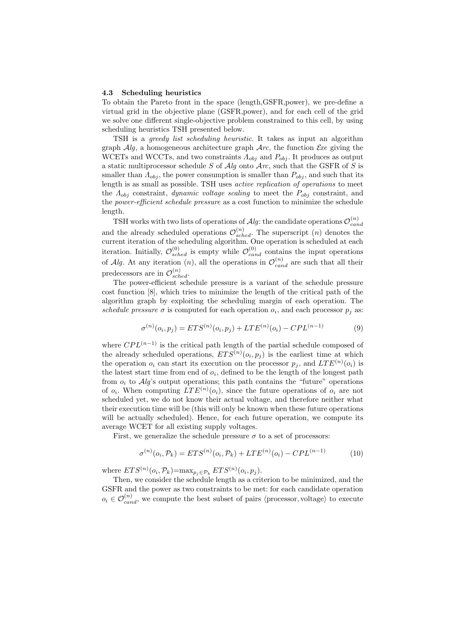#### 4.3 Scheduling heuristics

To obtain the Pareto front in the space (length,GSFR,power), we pre-define a virtual grid in the objective plane (GSFR,power), and for each cell of the grid we solve one different single-objective problem constrained to this cell, by using scheduling heuristics TSH presented below.

TSH is a greedy list scheduling heuristic. It takes as input an algorithm graph  $Alg$ , a homogeneous architecture graph  $Arc$ , the function  $Ex$ e giving the WCETs and WCCTs, and two constraints  $\Lambda_{obj}$  and  $P_{obj}$ . It produces as output a static multiprocessor schedule S of  $Alg$  onto  $Arc$ , such that the GSFR of S is smaller than  $\Lambda_{obj}$ , the power consumption is smaller than  $P_{obj}$ , and such that its length is as small as possible. TSH uses active replication of operations to meet the  $\Lambda_{obj}$  constraint, dynamic voltage scaling to meet the  $P_{obj}$  constraint, and the power-efficient schedule pressure as a cost function to minimize the schedule length.

TSH works with two lists of operations of  $Alg$ : the candidate operations  $\mathcal{O}_{can}^{(n)}$ cand and the already scheduled operations  $\mathcal{O}_{\mathit{sched}}^{(n)}$ . The superscript  $(n)$  denotes the current iteration of the scheduling algorithm. One operation is scheduled at each iteration. Initially,  $\mathcal{O}_{sched}^{(0)}$  is empty while  $\mathcal{O}_{cand}^{(0)}$  contains the input operations of  $Alg$ . At any iteration  $(n)$ , all the operations in  $\mathcal{O}_{cand}^{(n)}$  are such that all their predecessors are in  $\mathcal{O}_{\mathit{sched}}^{(n)}$ .

The power-efficient schedule pressure is a variant of the schedule pressure cost function [8], which tries to minimize the length of the critical path of the algorithm graph by exploiting the scheduling margin of each operation. The schedule pressure  $\sigma$  is computed for each operation  $o_i$ , and each processor  $p_j$  as:

$$
\sigma^{(n)}(o_i, p_j) = ETS^{(n)}(o_i, p_j) + LTE^{(n)}(o_i) - CPL^{(n-1)}
$$
\n(9)

where  $CPL^{(n-1)}$  is the critical path length of the partial schedule composed of the already scheduled operations,  $ETS^{(n)}(o_i, p_j)$  is the earliest time at which the operation  $o_i$  can start its execution on the processor  $p_j$ , and  $LTE^{(n)}(o_i)$  is the latest start time from end of  $o_i$ , defined to be the length of the longest path from  $o_i$  to  $Alg$ 's output operations; this path contains the "future" operations of  $o_i$ . When computing  $LTE^{(n)}(o_i)$ , since the future operations of  $o_i$  are not scheduled yet, we do not know their actual voltage, and therefore neither what their execution time will be (this will only be known when these future operations will be actually scheduled). Hence, for each future operation, we compute its average WCET for all existing supply voltages.

First, we generalize the schedule pressure  $\sigma$  to a set of processors:

$$
\sigma^{(n)}(o_i, \mathcal{P}_k) = ETS^{(n)}(o_i, \mathcal{P}_k) + LTE^{(n)}(o_i) - CPL^{(n-1)}
$$
(10)

where  $ETS^{(n)}(o_i, \mathcal{P}_k) = \max_{p_j \in \mathcal{P}_k} ETS^{(n)}(o_i, p_j)$ .

Then, we consider the schedule length as a criterion to be minimized, and the GSFR and the power as two constraints to be met: for each candidate operation  $o_i \in \mathcal{O}_{cand}^{(n)}$ , we compute the best subset of pairs  $\langle$ processor, voltage $\rangle$  to execute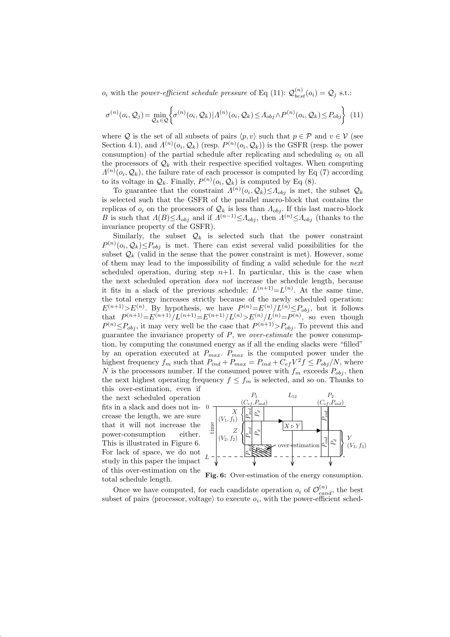$o_i$  with the power-efficient schedule pressure of Eq (11):  $\mathcal{Q}_{best}^{(n)}(o_i) = \mathcal{Q}_j$  s.t.:

$$
\sigma^{(n)}(o_i, \mathcal{Q}_j) = \min_{\mathcal{Q}_k \in \mathcal{Q}} \left\{ \sigma^{(n)}(o_i, \mathcal{Q}_k) | A^{(n)}(o_i, \mathcal{Q}_k) \le A_{obj} \wedge P^{(n)}(o_i, \mathcal{Q}_k) \le P_{obj} \right\} (11)
$$

where Q is the set of all subsets of pairs  $\langle p, v \rangle$  such that  $p \in \mathcal{P}$  and  $v \in \mathcal{V}$  (see Section 4.1), and  $\Lambda^{(n)}(o_i, \mathcal{Q}_k)$  (resp.  $P^{(n)}(o_i, \mathcal{Q}_k)$ ) is the GSFR (resp. the power consumption) of the partial schedule after replicating and scheduling  $o_i$  on all the processors of  $\mathcal{Q}_k$  with their respective specified voltages. When computing  $\Lambda^{(n)}(o_i, \mathcal{Q}_k)$ , the failure rate of each processor is computed by Eq (7) according to its voltage in  $\mathcal{Q}_k$ . Finally,  $P^{(n)}(o_i, \mathcal{Q}_k)$  is computed by Eq (8).

To guarantee that the constraint  $\Lambda^{(n)}(o_i, \mathcal{Q}_k) \leq \Lambda_{obj}$  is met, the subset  $\mathcal{Q}_k$ is selected such that the GSFR of the parallel macro-block that contains the replicas of  $o_i$  on the processors of  $\mathcal{Q}_k$  is less than  $\Lambda_{obj}$ . If this last macro-block B is such that  $\Lambda(B) \leq \Lambda_{obj}$  and if  $\Lambda^{(n-1)} \leq \Lambda_{obj}$ , then  $\Lambda^{(n)} \leq \Lambda_{obj}$  (thanks to the invariance property of the GSFR).

Similarly, the subset  $\mathcal{Q}_k$  is selected such that the power constraint  $P^{(n)}(o_i, \mathcal{Q}_k) \leq P_{obj}$  is met. There can exist several valid possibilities for the subset  $\mathcal{Q}_k$  (valid in the sense that the power constraint is met). However, some of them may lead to the impossibility of finding a valid schedule for the next scheduled operation, during step  $n+1$ . In particular, this is the case when the next scheduled operation does not increase the schedule length, because it fits in a slack of the previous schedule:  $L^{(n+1)} = L^{(n)}$ . At the same time, the total energy increases strictly because of the newly scheduled operation:  $E^{(n+1)} > E^{(n)}$ . By hypothesis, we have  $P^{(n)} = E^{(n)}/L^{(n)} \le P_{obj}$ , but it follows that  $P^{(n+1)}=E^{(n+1)}/L^{(n+1)}=E^{(n+1)}/L^{(n)}\geq E^{(n)}/L^{(n)}=P^{(n)},$  so even though  $P^{(n)} \leq P_{obj}$ , it may very well be the case that  $P^{(n+1)} > P_{obj}$ . To prevent this and guarantee the invariance property of  $P$ , we *over-estimate* the power consumption, by computing the consumed energy as if all the ending slacks were "filled" by an operation executed at  $P_{max}$ .  $P_{max}$  is the computed power under the highest frequency  $f_m$  such that  $P_{ind} + P_{max} = P_{ind} + C_{ef}V^2 f \le P_{obj}/N$ , where N is the processors number. If the consumed power with  $f_m$  exceeds  $P_{obj}$ , then the next highest operating frequency  $f \leq f_m$  is selected, and so on. Thanks to

this over-estimation, even if the next scheduled operation fits in a slack and does not increase the length, we are sure that it will not increase the power-consumption either. This is illustrated in Figure 6. For lack of space, we do not study in this paper the impact of this over-estimation on the total schedule length.



Fig. 6: Over-estimation of the energy consumption.

Once we have computed, for each candidate operation  $o_i$  of  $\mathcal{O}_{cand}^{(n)}$ , the best subset of pairs  $\langle$  processor, voltage $\rangle$  to execute  $o_i$ , with the power-efficient sched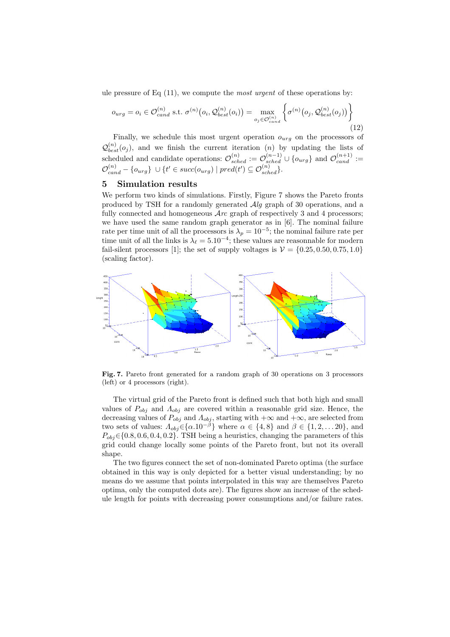ule pressure of Eq  $(11)$ , we compute the *most urgent* of these operations by:

$$
o_{urg} = o_i \in \mathcal{O}_{cand}^{(n)} \text{ s.t. } \sigma^{(n)}(o_i, \mathcal{Q}_{best}^{(n)}(o_i)) = \max_{o_j \in \mathcal{O}_{cand}^{(n)}} \left\{ \sigma^{(n)}(o_j, \mathcal{Q}_{best}^{(n)}(o_j)) \right\}
$$
(12)

Finally, we schedule this most urgent operation  $o_{ura}$  on the processors of  $\mathcal{Q}_{best}^{(n)}(o_j)$ , and we finish the current iteration (n) by updating the lists of scheduled and candidate operations:  $\mathcal{O}_{sched}^{(n)} := \mathcal{O}_{sched}^{(n-1)} \cup \{o_{urg}\}\$ and  $\mathcal{O}_{cand}^{(n+1)} :=$  $\mathcal{O}_{cand}^{(n)} - \{o_{urg}\} \cup \{t' \in succ(o_{urg}) \mid pred(t') \subseteq \mathcal{O}_{sched}^{(n)}\}.$ 

# 5 Simulation results

We perform two kinds of simulations. Firstly, Figure 7 shows the Pareto fronts produced by TSH for a randomly generated Alg graph of 30 operations, and a fully connected and homogeneous  $\mathcal{A}$ rc graph of respectively 3 and 4 processors; we have used the same random graph generator as in [6]. The nominal failure rate per time unit of all the processors is  $\lambda_p = 10^{-5}$ ; the nominal failure rate per time unit of all the links is  $\lambda_{\ell} = 5.10^{-4}$ ; these values are reasonnable for modern fail-silent processors [1]; the set of supply voltages is  $\mathcal{V} = \{0.25, 0.50, 0.75, 1.0\}$ (scaling factor).



Fig. 7. Pareto front generated for a random graph of 30 operations on 3 processors (left) or 4 processors (right).

The virtual grid of the Pareto front is defined such that both high and small values of  $P_{obj}$  and  $\Lambda_{obj}$  are covered within a reasonable grid size. Hence, the decreasing values of  $P_{obj}$  and  $\Lambda_{obj}$ , starting with  $+\infty$  and  $+\infty$ , are selected from two sets of values:  $\Lambda_{obj} \in {\{\alpha.10^{-\beta}\}}$  where  $\alpha \in {\{4, 8\}}$  and  $\beta \in {\{1, 2, \dots 20\}}$ , and  $P_{obj} \in \{0.8, 0.6, 0.4, 0.2\}$ . TSH being a heuristics, changing the parameters of this grid could change locally some points of the Pareto front, but not its overall shape.

The two figures connect the set of non-dominated Pareto optima (the surface obtained in this way is only depicted for a better visual understanding; by no means do we assume that points interpolated in this way are themselves Pareto optima, only the computed dots are). The figures show an increase of the schedule length for points with decreasing power consumptions and/or failure rates.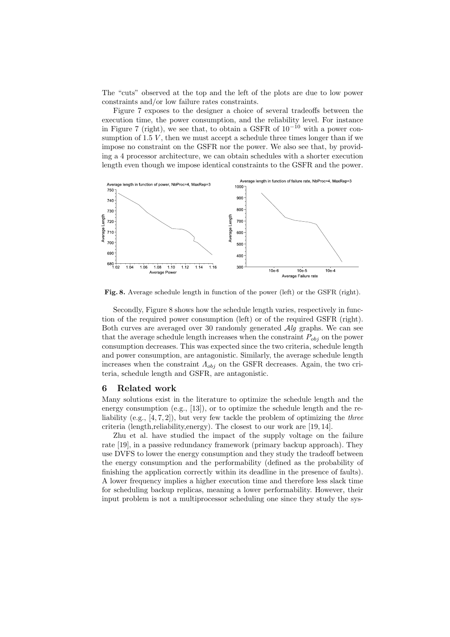The "cuts" observed at the top and the left of the plots are due to low power constraints and/or low failure rates constraints.

Figure 7 exposes to the designer a choice of several tradeoffs between the execution time, the power consumption, and the reliability level. For instance in Figure 7 (right), we see that, to obtain a GSFR of  $10^{-10}$  with a power consumption of  $1.5$  V, then we must accept a schedule three times longer than if we impose no constraint on the GSFR nor the power. We also see that, by providing a 4 processor architecture, we can obtain schedules with a shorter execution length even though we impose identical constraints to the GSFR and the power.



Fig. 8. Average schedule length in function of the power (left) or the GSFR (right).

Secondly, Figure 8 shows how the schedule length varies, respectively in function of the required power consumption (left) or of the required GSFR (right). Both curves are averaged over 30 randomly generated  $\mathcal{A}lq$  graphs. We can see that the average schedule length increases when the constraint  $P_{obj}$  on the power consumption decreases. This was expected since the two criteria, schedule length and power consumption, are antagonistic. Similarly, the average schedule length increases when the constraint  $\Lambda_{obj}$  on the GSFR decreases. Again, the two criteria, schedule length and GSFR, are antagonistic.

# 6 Related work

Many solutions exist in the literature to optimize the schedule length and the energy consumption (e.g., [13]), or to optimize the schedule length and the reliability (e.g.,  $[4, 7, 2]$ ), but very few tackle the problem of optimizing the *three* criteria (length,reliability,energy). The closest to our work are [19, 14].

Zhu et al. have studied the impact of the supply voltage on the failure rate [19], in a passive redundancy framework (primary backup approach). They use DVFS to lower the energy consumption and they study the tradeoff between the energy consumption and the performability (defined as the probability of finishing the application correctly within its deadline in the presence of faults). A lower frequency implies a higher execution time and therefore less slack time for scheduling backup replicas, meaning a lower performability. However, their input problem is not a multiprocessor scheduling one since they study the sys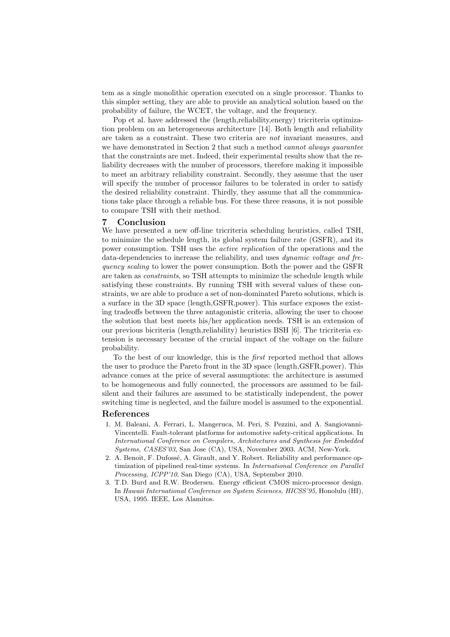tem as a single monolithic operation executed on a single processor. Thanks to this simpler setting, they are able to provide an analytical solution based on the probability of failure, the WCET, the voltage, and the frequency.

Pop et al. have addressed the (length,reliability,energy) tricriteria optimization problem on an heterogeneous architecture [14]. Both length and reliability are taken as a constraint. These two criteria are not invariant measures, and we have demonstrated in Section 2 that such a method *cannot always guarantee* that the constraints are met. Indeed, their experimental results show that the reliability decreases with the number of processors, therefore making it impossible to meet an arbitrary reliability constraint. Secondly, they assume that the user will specify the number of processor failures to be tolerated in order to satisfy the desired reliability constraint. Thirdly, they assume that all the communications take place through a reliable bus. For these three reasons, it is not possible to compare TSH with their method.

### 7 Conclusion

We have presented a new off-line tricriteria scheduling heuristics, called TSH, to minimize the schedule length, its global system failure rate (GSFR), and its power consumption. TSH uses the active replication of the operations and the data-dependencies to increase the reliability, and uses *dynamic voltage and fre*quency scaling to lower the power consumption. Both the power and the GSFR are taken as constraints, so TSH attempts to minimize the schedule length while satisfying these constraints. By running TSH with several values of these constraints, we are able to produce a set of non-dominated Pareto solutions, which is a surface in the 3D space (length,GSFR,power). This surface exposes the existing tradeoffs between the three antagonistic criteria, allowing the user to choose the solution that best meets his/her application needs. TSH is an extension of our previous bicriteria (length,reliability) heuristics BSH [6]. The tricriteria extension is necessary because of the crucial impact of the voltage on the failure probability.

To the best of our knowledge, this is the first reported method that allows the user to produce the Pareto front in the 3D space (length,GSFR,power). This advance comes at the price of several assumptions: the architecture is assumed to be homogeneous and fully connected, the processors are assumed to be failsilent and their failures are assumed to be statistically independent, the power switching time is neglected, and the failure model is assumed to the exponential.

## References

- 1. M. Baleani, A. Ferrari, L. Mangeruca, M. Peri, S. Pezzini, and A. Sangiovanni-Vincentelli. Fault-tolerant platforms for automotive safety-critical applications. In International Conference on Compilers, Architectures and Synthesis for Embedded Systems, CASES'03, San Jose (CA), USA, November 2003. ACM, New-York.
- 2. A. Benoit, F. Dufossé, A. Girault, and Y. Robert. Reliability and performance optimization of pipelined real-time systems. In International Conference on Parallel Processing, ICPP'10, San Diego (CA), USA, September 2010.
- 3. T.D. Burd and R.W. Brodersen. Energy efficient CMOS micro-processor design. In Hawaii International Conference on System Sciences, HICSS'95, Honolulu (HI), USA, 1995. IEEE, Los Alamitos.